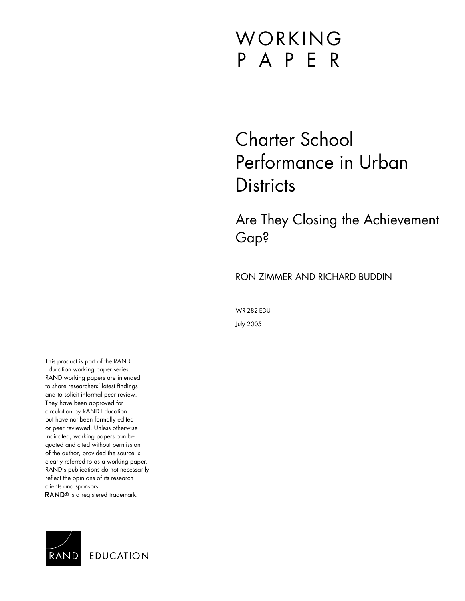# WORKING P A P E R

# Charter School Performance in Urban **Districts**

Are They Closing the Achievement Gap?

RON ZIMMER AND RICHARD BUDDIN

WR-282-EDU

July 2005

This product is part of the RAND Education working paper series. RAND working papers are intended to share researchers' latest findings and to solicit informal peer review. They have been approved for circulation by RAND Education but have not been formally edited or peer reviewed. Unless otherwise indicated, working papers can be quoted and cited without permission of the author, provided the source is clearly referred to as a working paper. RAND's publications do not necessarily reflect the opinions of its research clients and sponsors. RAND<sup>®</sup> is a registered trademark.

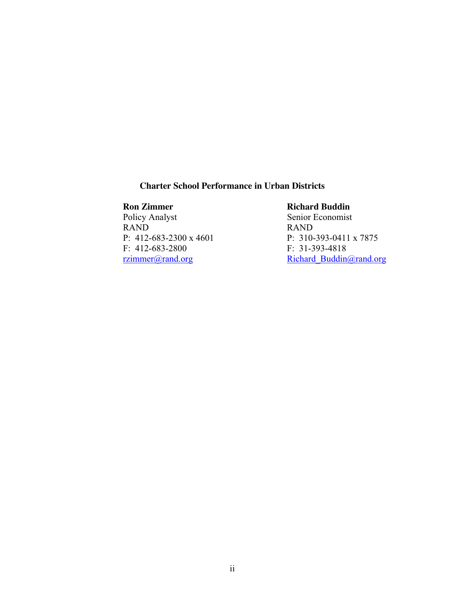# **Charter School Performance in Urban Districts**

**Ron Zimmer Richard Buddin Policy Analyst Senior Economist** RAND<br>
P: 412-683-2300 x 4601<br>
P: 310-F: 412-683-2800

Senior Economist P: 310-393-0411 x 7875<br>F: 31-393-4818 rzimmer@rand.org Richard\_Buddin@rand.org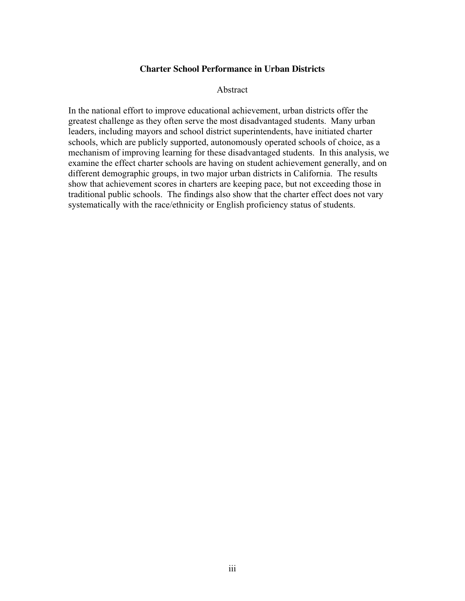## **Charter School Performance in Urban Districts**

#### Abstract

In the national effort to improve educational achievement, urban districts offer the greatest challenge as they often serve the most disadvantaged students. Many urban leaders, including mayors and school district superintendents, have initiated charter schools, which are publicly supported, autonomously operated schools of choice, as a mechanism of improving learning for these disadvantaged students. In this analysis, we examine the effect charter schools are having on student achievement generally, and on different demographic groups, in two major urban districts in California. The results show that achievement scores in charters are keeping pace, but not exceeding those in traditional public schools. The findings also show that the charter effect does not vary systematically with the race/ethnicity or English proficiency status of students.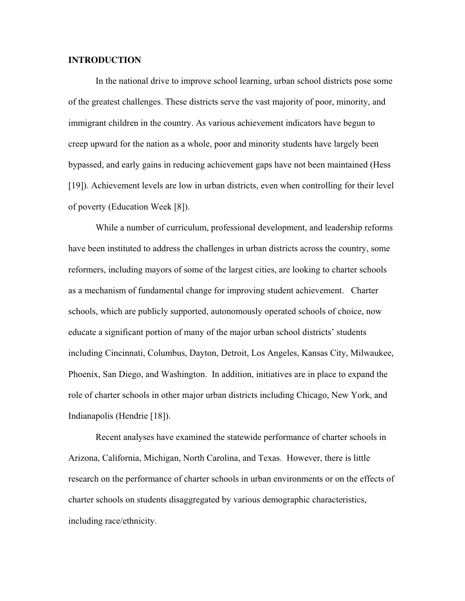### **INTRODUCTION**

In the national drive to improve school learning, urban school districts pose some of the greatest challenges. These districts serve the vast majority of poor, minority, and immigrant children in the country. As various achievement indicators have begun to creep upward for the nation as a whole, poor and minority students have largely been bypassed, and early gains in reducing achievement gaps have not been maintained (Hess [19]). Achievement levels are low in urban districts, even when controlling for their level of poverty (Education Week [8]).

While a number of curriculum, professional development, and leadership reforms have been instituted to address the challenges in urban districts across the country, some reformers, including mayors of some of the largest cities, are looking to charter schools as a mechanism of fundamental change for improving student achievement. Charter schools, which are publicly supported, autonomously operated schools of choice, now educate a significant portion of many of the major urban school districts' students including Cincinnati, Columbus, Dayton, Detroit, Los Angeles, Kansas City, Milwaukee, Phoenix, San Diego, and Washington. In addition, initiatives are in place to expand the role of charter schools in other major urban districts including Chicago, New York, and Indianapolis (Hendrie [18]).

Recent analyses have examined the statewide performance of charter schools in Arizona, California, Michigan, North Carolina, and Texas. However, there is little research on the performance of charter schools in urban environments or on the effects of charter schools on students disaggregated by various demographic characteristics, including race/ethnicity.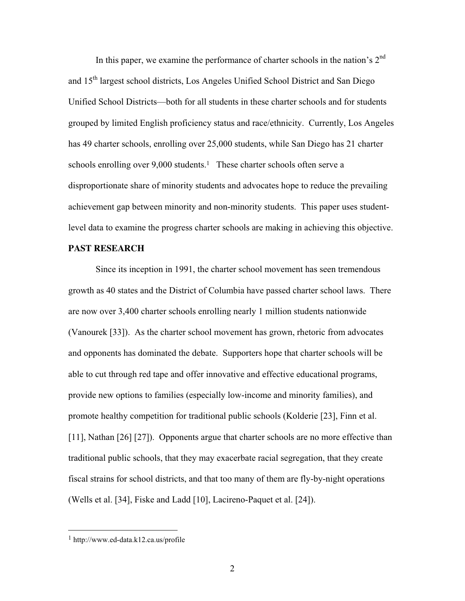In this paper, we examine the performance of charter schools in the nation's  $2<sup>nd</sup>$ and 15<sup>th</sup> largest school districts, Los Angeles Unified School District and San Diego Unified School Districts—both for all students in these charter schools and for students grouped by limited English proficiency status and race/ethnicity. Currently, Los Angeles has 49 charter schools, enrolling over 25,000 students, while San Diego has 21 charter schools enrolling over 9,000 students.<sup>1</sup> These charter schools often serve a disproportionate share of minority students and advocates hope to reduce the prevailing achievement gap between minority and non-minority students. This paper uses studentlevel data to examine the progress charter schools are making in achieving this objective.

## **PAST RESEARCH**

Since its inception in 1991, the charter school movement has seen tremendous growth as 40 states and the District of Columbia have passed charter school laws. There are now over 3,400 charter schools enrolling nearly 1 million students nationwide (Vanourek [33]). As the charter school movement has grown, rhetoric from advocates and opponents has dominated the debate. Supporters hope that charter schools will be able to cut through red tape and offer innovative and effective educational programs, provide new options to families (especially low-income and minority families), and promote healthy competition for traditional public schools (Kolderie [23], Finn et al. [11], Nathan [26] [27]). Opponents argue that charter schools are no more effective than traditional public schools, that they may exacerbate racial segregation, that they create fiscal strains for school districts, and that too many of them are fly-by-night operations (Wells et al. [34], Fiske and Ladd [10], Lacireno-Paquet et al. [24]).

<sup>1</sup> http://www.ed-data.k12.ca.us/profile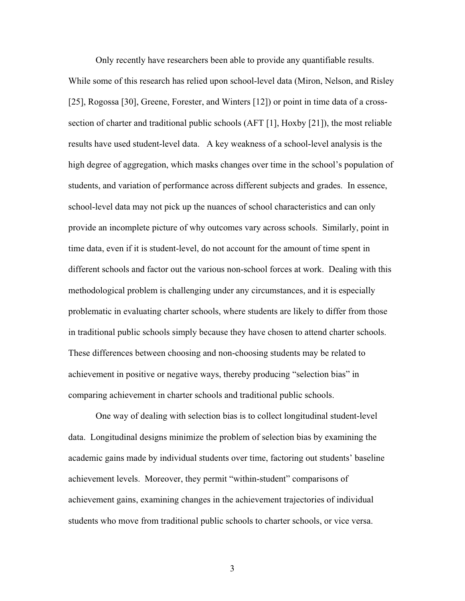Only recently have researchers been able to provide any quantifiable results. While some of this research has relied upon school-level data (Miron, Nelson, and Risley [25], Rogossa [30], Greene, Forester, and Winters [12]) or point in time data of a crosssection of charter and traditional public schools (AFT [1], Hoxby [21]), the most reliable results have used student-level data. A key weakness of a school-level analysis is the high degree of aggregation, which masks changes over time in the school's population of students, and variation of performance across different subjects and grades. In essence, school-level data may not pick up the nuances of school characteristics and can only provide an incomplete picture of why outcomes vary across schools. Similarly, point in time data, even if it is student-level, do not account for the amount of time spent in different schools and factor out the various non-school forces at work. Dealing with this methodological problem is challenging under any circumstances, and it is especially problematic in evaluating charter schools, where students are likely to differ from those in traditional public schools simply because they have chosen to attend charter schools. These differences between choosing and non-choosing students may be related to achievement in positive or negative ways, thereby producing "selection bias" in comparing achievement in charter schools and traditional public schools.

One way of dealing with selection bias is to collect longitudinal student-level data. Longitudinal designs minimize the problem of selection bias by examining the academic gains made by individual students over time, factoring out students' baseline achievement levels. Moreover, they permit "within-student" comparisons of achievement gains, examining changes in the achievement trajectories of individual students who move from traditional public schools to charter schools, or vice versa.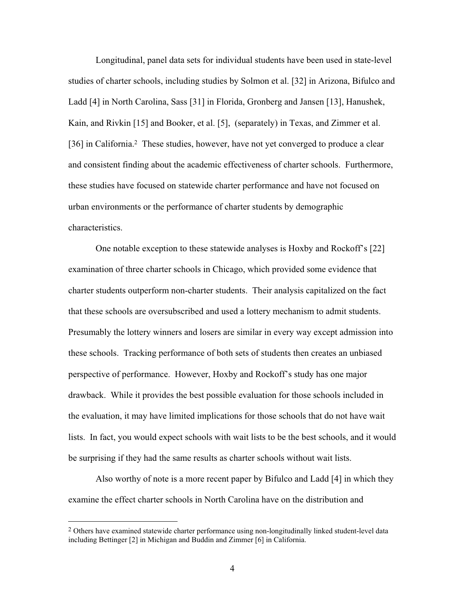Longitudinal, panel data sets for individual students have been used in state-level studies of charter schools, including studies by Solmon et al. [32] in Arizona, Bifulco and Ladd [4] in North Carolina, Sass [31] in Florida, Gronberg and Jansen [13], Hanushek, Kain, and Rivkin [15] and Booker, et al. [5], (separately) in Texas, and Zimmer et al. [36] in California.2 These studies, however, have not yet converged to produce a clear and consistent finding about the academic effectiveness of charter schools. Furthermore, these studies have focused on statewide charter performance and have not focused on urban environments or the performance of charter students by demographic characteristics.

One notable exception to these statewide analyses is Hoxby and Rockoff's [22] examination of three charter schools in Chicago, which provided some evidence that charter students outperform non-charter students. Their analysis capitalized on the fact that these schools are oversubscribed and used a lottery mechanism to admit students. Presumably the lottery winners and losers are similar in every way except admission into these schools. Tracking performance of both sets of students then creates an unbiased perspective of performance. However, Hoxby and Rockoff's study has one major drawback. While it provides the best possible evaluation for those schools included in the evaluation, it may have limited implications for those schools that do not have wait lists. In fact, you would expect schools with wait lists to be the best schools, and it would be surprising if they had the same results as charter schools without wait lists.

Also worthy of note is a more recent paper by Bifulco and Ladd [4] in which they examine the effect charter schools in North Carolina have on the distribution and

 $2$  Others have examined statewide charter performance using non-longitudinally linked student-level data including Bettinger [2] in Michigan and Buddin and Zimmer [6] in California.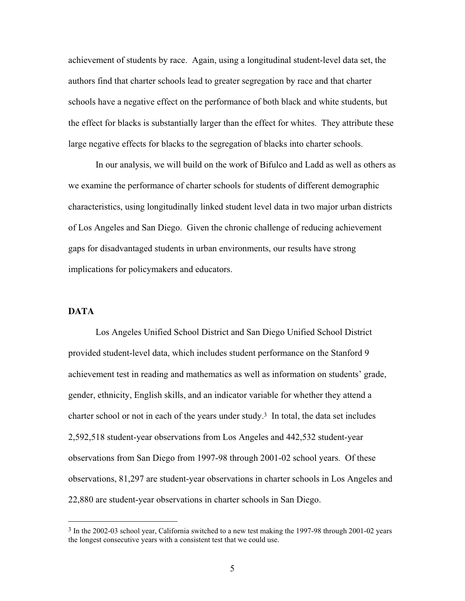achievement of students by race. Again, using a longitudinal student-level data set, the authors find that charter schools lead to greater segregation by race and that charter schools have a negative effect on the performance of both black and white students, but the effect for blacks is substantially larger than the effect for whites. They attribute these large negative effects for blacks to the segregation of blacks into charter schools.

In our analysis, we will build on the work of Bifulco and Ladd as well as others as we examine the performance of charter schools for students of different demographic characteristics, using longitudinally linked student level data in two major urban districts of Los Angeles and San Diego. Given the chronic challenge of reducing achievement gaps for disadvantaged students in urban environments, our results have strong implications for policymakers and educators.

#### **DATA**

Los Angeles Unified School District and San Diego Unified School District provided student-level data, which includes student performance on the Stanford 9 achievement test in reading and mathematics as well as information on students' grade, gender, ethnicity, English skills, and an indicator variable for whether they attend a charter school or not in each of the years under study.<sup>3</sup> In total, the data set includes 2,592,518 student-year observations from Los Angeles and 442,532 student-year observations from San Diego from 1997-98 through 2001-02 school years. Of these observations, 81,297 are student-year observations in charter schools in Los Angeles and 22,880 are student-year observations in charter schools in San Diego.

<sup>3</sup> In the 2002-03 school year, California switched to a new test making the 1997-98 through 2001-02 years the longest consecutive years with a consistent test that we could use.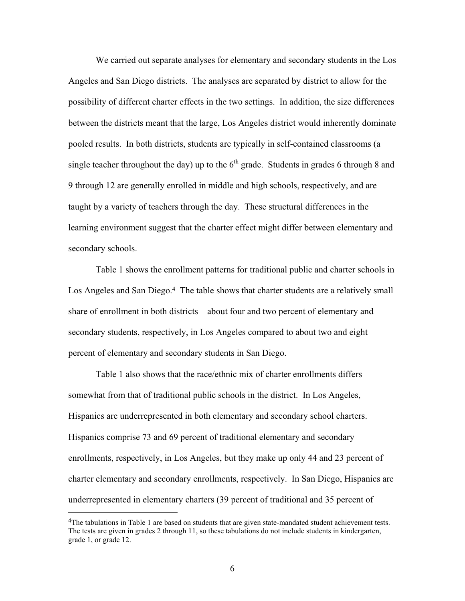We carried out separate analyses for elementary and secondary students in the Los Angeles and San Diego districts. The analyses are separated by district to allow for the possibility of different charter effects in the two settings. In addition, the size differences between the districts meant that the large, Los Angeles district would inherently dominate pooled results. In both districts, students are typically in self-contained classrooms (a single teacher throughout the day) up to the  $6<sup>th</sup>$  grade. Students in grades 6 through 8 and 9 through 12 are generally enrolled in middle and high schools, respectively, and are taught by a variety of teachers through the day. These structural differences in the learning environment suggest that the charter effect might differ between elementary and secondary schools.

Table 1 shows the enrollment patterns for traditional public and charter schools in Los Angeles and San Diego.<sup>4</sup> The table shows that charter students are a relatively small share of enrollment in both districts—about four and two percent of elementary and secondary students, respectively, in Los Angeles compared to about two and eight percent of elementary and secondary students in San Diego.

Table 1 also shows that the race/ethnic mix of charter enrollments differs somewhat from that of traditional public schools in the district. In Los Angeles, Hispanics are underrepresented in both elementary and secondary school charters. Hispanics comprise 73 and 69 percent of traditional elementary and secondary enrollments, respectively, in Los Angeles, but they make up only 44 and 23 percent of charter elementary and secondary enrollments, respectively. In San Diego, Hispanics are underrepresented in elementary charters (39 percent of traditional and 35 percent of

<sup>4</sup>The tabulations in Table 1 are based on students that are given state-mandated student achievement tests. The tests are given in grades 2 through 11, so these tabulations do not include students in kindergarten, grade 1, or grade 12.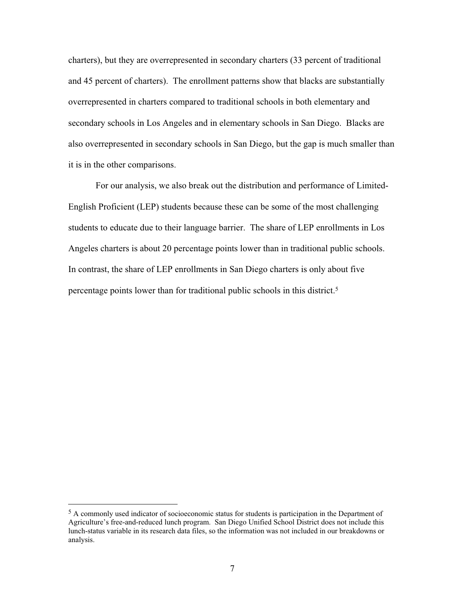charters), but they are overrepresented in secondary charters (33 percent of traditional and 45 percent of charters). The enrollment patterns show that blacks are substantially overrepresented in charters compared to traditional schools in both elementary and secondary schools in Los Angeles and in elementary schools in San Diego. Blacks are also overrepresented in secondary schools in San Diego, but the gap is much smaller than it is in the other comparisons.

For our analysis, we also break out the distribution and performance of Limited-English Proficient (LEP) students because these can be some of the most challenging students to educate due to their language barrier. The share of LEP enrollments in Los Angeles charters is about 20 percentage points lower than in traditional public schools. In contrast, the share of LEP enrollments in San Diego charters is only about five percentage points lower than for traditional public schools in this district.5

<sup>5</sup> A commonly used indicator of socioeconomic status for students is participation in the Department of Agriculture's free-and-reduced lunch program. San Diego Unified School District does not include this lunch-status variable in its research data files, so the information was not included in our breakdowns or analysis.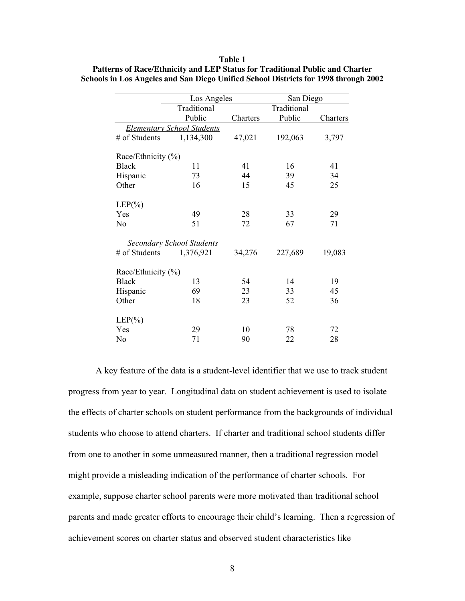#### **Table 1**

|                                   | Los Angeles                      |          | San Diego   |          |
|-----------------------------------|----------------------------------|----------|-------------|----------|
|                                   | Traditional                      |          | Traditional |          |
|                                   | Public                           | Charters | Public      | Charters |
| <b>Elementary School Students</b> |                                  |          |             |          |
| # of Students                     | 1,134,300                        | 47,021   | 192,063     | 3,797    |
|                                   |                                  |          |             |          |
| Race/Ethnicity $(\% )$            |                                  |          |             |          |
| <b>Black</b>                      | 11                               | 41       | 16          | 41       |
| Hispanic                          | 73                               | 44       | 39          | 34       |
| Other                             | 16                               | 15       | 45          | 25       |
| $LEP(\% )$                        |                                  |          |             |          |
| Yes                               | 49                               | 28       | 33          | 29       |
| No                                | 51                               | 72       | 67          | 71       |
|                                   | <b>Secondary School Students</b> |          |             |          |
| # of Students                     | 1,376,921                        | 34,276   | 227,689     | 19,083   |
| Race/Ethnicity $(\% )$            |                                  |          |             |          |
| <b>Black</b>                      | 13                               | 54       | 14          | 19       |
| Hispanic                          | 69                               | 23       | 33          | 45       |
| Other                             | 18                               | 23       | 52          | 36       |
|                                   |                                  |          |             |          |
| $LEP(\% )$                        |                                  |          |             |          |
| Yes                               | 29                               | 10       | 78          | 72       |
| No                                | 71                               | 90       | 22          | 28       |

**Patterns of Race/Ethnicity and LEP Status for Traditional Public and Charter Schools in Los Angeles and San Diego Unified School Districts for 1998 through 2002** 

A key feature of the data is a student-level identifier that we use to track student progress from year to year. Longitudinal data on student achievement is used to isolate the effects of charter schools on student performance from the backgrounds of individual students who choose to attend charters. If charter and traditional school students differ from one to another in some unmeasured manner, then a traditional regression model might provide a misleading indication of the performance of charter schools. For example, suppose charter school parents were more motivated than traditional school parents and made greater efforts to encourage their child's learning. Then a regression of achievement scores on charter status and observed student characteristics like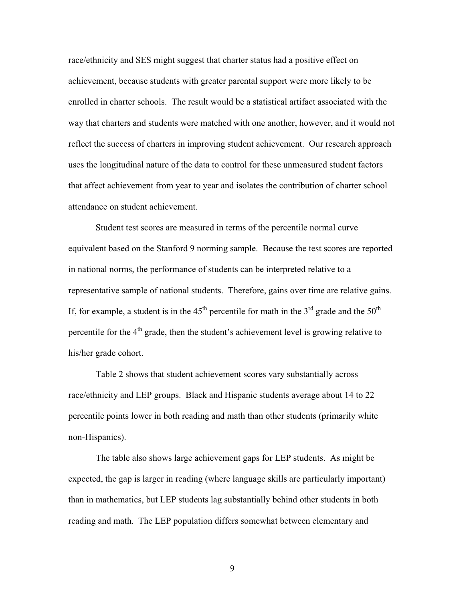race/ethnicity and SES might suggest that charter status had a positive effect on achievement, because students with greater parental support were more likely to be enrolled in charter schools. The result would be a statistical artifact associated with the way that charters and students were matched with one another, however, and it would not reflect the success of charters in improving student achievement. Our research approach uses the longitudinal nature of the data to control for these unmeasured student factors that affect achievement from year to year and isolates the contribution of charter school attendance on student achievement.

Student test scores are measured in terms of the percentile normal curve equivalent based on the Stanford 9 norming sample. Because the test scores are reported in national norms, the performance of students can be interpreted relative to a representative sample of national students. Therefore, gains over time are relative gains. If, for example, a student is in the  $45<sup>th</sup>$  percentile for math in the  $3<sup>rd</sup>$  grade and the  $50<sup>th</sup>$ percentile for the  $4<sup>th</sup>$  grade, then the student's achievement level is growing relative to his/her grade cohort.

Table 2 shows that student achievement scores vary substantially across race/ethnicity and LEP groups. Black and Hispanic students average about 14 to 22 percentile points lower in both reading and math than other students (primarily white non-Hispanics).

The table also shows large achievement gaps for LEP students. As might be expected, the gap is larger in reading (where language skills are particularly important) than in mathematics, but LEP students lag substantially behind other students in both reading and math. The LEP population differs somewhat between elementary and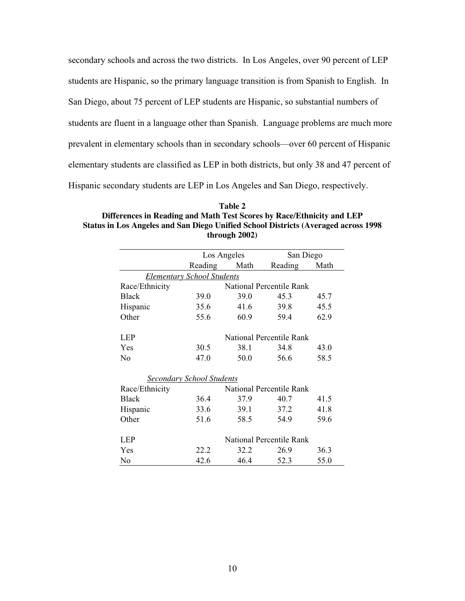secondary schools and across the two districts. In Los Angeles, over 90 percent of LEP students are Hispanic, so the primary language transition is from Spanish to English. In San Diego, about 75 percent of LEP students are Hispanic, so substantial numbers of students are fluent in a language other than Spanish. Language problems are much more prevalent in elementary schools than in secondary schools—over 60 percent of Hispanic elementary students are classified as LEP in both districts, but only 38 and 47 percent of Hispanic secondary students are LEP in Los Angeles and San Diego, respectively.

| Table 2                                                                             |
|-------------------------------------------------------------------------------------|
| Differences in Reading and Math Test Scores by Race/Ethnicity and LEP               |
| Status in Los Angeles and San Diego Unified School Districts (Averaged across 1998) |
| through $2002$ )                                                                    |

|                                   | Los Angeles              |      | San Diego                |      |
|-----------------------------------|--------------------------|------|--------------------------|------|
|                                   | Reading                  | Math | Reading                  | Math |
|                                   |                          |      |                          |      |
| <b>Elementary School Students</b> |                          |      |                          |      |
| Race/Ethnicity                    | National Percentile Rank |      |                          |      |
| <b>Black</b>                      | 39.0                     | 39.0 | 45.3                     | 45.7 |
| Hispanic                          | 35.6                     | 41.6 | 39.8                     | 45.5 |
| Other                             | 55.6                     | 60.9 | 59.4                     | 62.9 |
|                                   |                          |      |                          |      |
| LEP <sup>1</sup>                  |                          |      | National Percentile Rank |      |
| Yes                               | 30.5                     | 38.1 | 34.8                     | 43.0 |
| No                                | 47.0                     | 50.0 | 56.6                     | 58.5 |
|                                   |                          |      |                          |      |
| <b>Secondary School Students</b>  |                          |      |                          |      |
| Race/Ethnicity                    | National Percentile Rank |      |                          |      |
| <b>Black</b>                      | 36.4                     | 37.9 | 40.7                     | 41.5 |
| Hispanic                          | 33.6                     | 39.1 | 37.2                     | 41.8 |
| Other                             | 51.6                     | 58.5 | 54.9                     | 59.6 |
|                                   |                          |      |                          |      |
| <b>LEP</b>                        |                          |      | National Percentile Rank |      |
| Yes                               | 22.2                     | 32.2 | 26.9                     | 36.3 |
| No                                | 42.6                     | 46.4 | 52.3                     | 55.0 |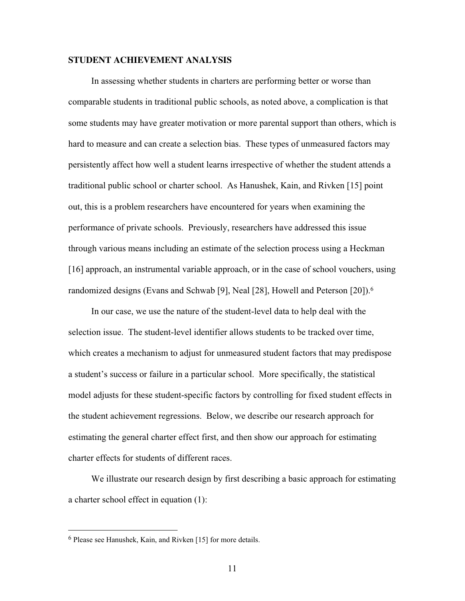#### **STUDENT ACHIEVEMENT ANALYSIS**

In assessing whether students in charters are performing better or worse than comparable students in traditional public schools, as noted above, a complication is that some students may have greater motivation or more parental support than others, which is hard to measure and can create a selection bias. These types of unmeasured factors may persistently affect how well a student learns irrespective of whether the student attends a traditional public school or charter school. As Hanushek, Kain, and Rivken [15] point out, this is a problem researchers have encountered for years when examining the performance of private schools. Previously, researchers have addressed this issue through various means including an estimate of the selection process using a Heckman [16] approach, an instrumental variable approach, or in the case of school vouchers, using randomized designs (Evans and Schwab [9], Neal [28], Howell and Peterson [20]).6

In our case, we use the nature of the student-level data to help deal with the selection issue. The student-level identifier allows students to be tracked over time, which creates a mechanism to adjust for unmeasured student factors that may predispose a student's success or failure in a particular school. More specifically, the statistical model adjusts for these student-specific factors by controlling for fixed student effects in the student achievement regressions. Below, we describe our research approach for estimating the general charter effect first, and then show our approach for estimating charter effects for students of different races.

We illustrate our research design by first describing a basic approach for estimating a charter school effect in equation (1):

<sup>6</sup> Please see Hanushek, Kain, and Rivken [15] for more details.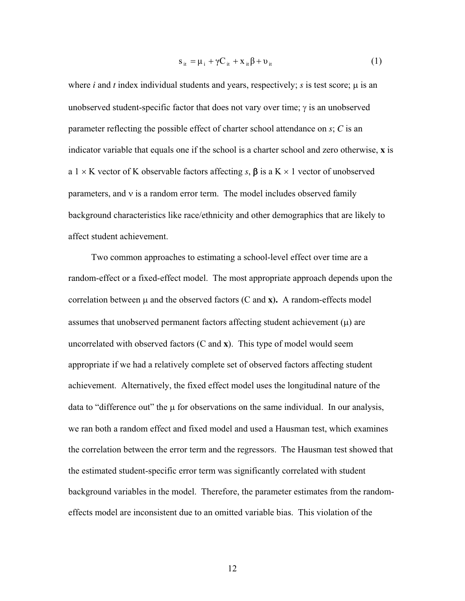$$
\mathbf{s}_{it} = \boldsymbol{\mu}_i + \gamma \mathbf{C}_{it} + \mathbf{x}_{it} \boldsymbol{\beta} + \mathbf{v}_{it} \tag{1}
$$

where *i* and *t* index individual students and years, respectively; *s* is test score;  $\mu$  is an unobserved student-specific factor that does not vary over time;  $\gamma$  is an unobserved parameter reflecting the possible effect of charter school attendance on *s*; *C* is an indicator variable that equals one if the school is a charter school and zero otherwise, **x** is a  $1 \times K$  vector of K observable factors affecting *s*,  $\beta$  is a  $K \times 1$  vector of unobserved parameters, and  $\nu$  is a random error term. The model includes observed family background characteristics like race/ethnicity and other demographics that are likely to affect student achievement.

Two common approaches to estimating a school-level effect over time are a random-effect or a fixed-effect model. The most appropriate approach depends upon the correlation between  $\mu$  and the observed factors (C and **x**). A random-effects model assumes that unobserved permanent factors affecting student achievement  $(\mu)$  are uncorrelated with observed factors (C and **x**). This type of model would seem appropriate if we had a relatively complete set of observed factors affecting student achievement. Alternatively, the fixed effect model uses the longitudinal nature of the data to "difference out" the  $\mu$  for observations on the same individual. In our analysis, we ran both a random effect and fixed model and used a Hausman test, which examines the correlation between the error term and the regressors. The Hausman test showed that the estimated student-specific error term was significantly correlated with student background variables in the model. Therefore, the parameter estimates from the randomeffects model are inconsistent due to an omitted variable bias. This violation of the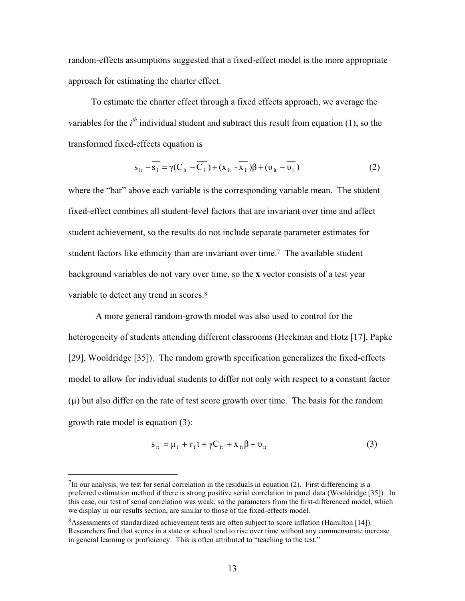random-effects assumptions suggested that a fixed-effect model is the more appropriate approach for estimating the charter effect.

To estimate the charter effect through a fixed effects approach, we average the variables for the *i<sup>th</sup>* individual student and subtract this result from equation (1), so the transformed fixed-effects equation is

$$
\overline{\mathbf{s}_{it} - \mathbf{s}_{i}} = \gamma (\mathbf{C}_{it} - \overline{\mathbf{C}_{i}}) + (\mathbf{x}_{it} - \overline{\mathbf{x}_{i}}) \beta + (\mathbf{v}_{it} - \overline{\mathbf{v}_{i}})
$$
(2)

where the "bar" above each variable is the corresponding variable mean. The student fixed-effect combines all student-level factors that are invariant over time and affect student achievement, so the results do not include separate parameter estimates for student factors like ethnicity than are invariant over time.<sup>7</sup> The available student background variables do not vary over time, so the **x** vector consists of a test year variable to detect any trend in scores.<sup>8</sup>

A more general random-growth model was also used to control for the heterogeneity of students attending different classrooms (Heckman and Hotz [17], Papke [29], Wooldridge [35]). The random growth specification generalizes the fixed-effects model to allow for individual students to differ not only with respect to a constant factor  $(\mu)$  but also differ on the rate of test score growth over time. The basis for the random growth rate model is equation (3):

$$
s_{it} = \mu_i + \tau_i t + \gamma C_{it} + x_{it} \beta + \nu_{it}
$$
 (3)

 $7$ In our analysis, we test for serial correlation in the residuals in equation (2). First differencing is a preferred estimation method if there is strong positive serial correlation in panel data (Wooldridge [35]). In this case, our test of serial correlation was weak, so the parameters from the first-differenced model, which we display in our results section, are similar to those of the fixed-effects model.

<sup>8</sup>Assessments of standardized achievement tests are often subject to score inflation (Hamilton [14]). Researchers find that scores in a state or school tend to rise over time without any commensurate increase in general learning or proficiency. This is often attributed to "teaching to the test."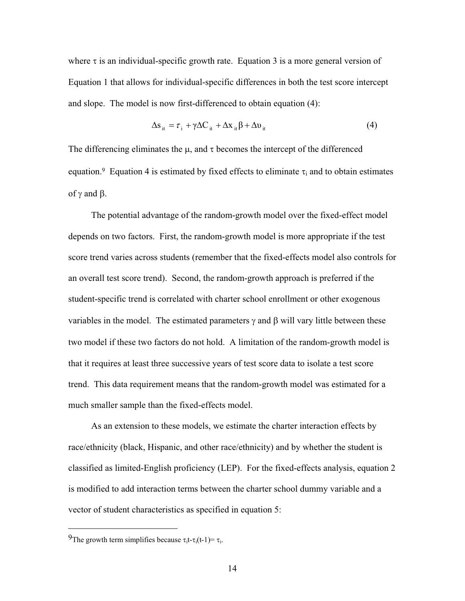where  $\tau$  is an individual-specific growth rate. Equation 3 is a more general version of Equation 1 that allows for individual-specific differences in both the test score intercept and slope. The model is now first-differenced to obtain equation (4):

$$
\Delta s_{it} = \tau_i + \gamma \Delta C_{it} + \Delta x_{it} \beta + \Delta v_{it}
$$
\n(4)

The differencing eliminates the  $\mu$ , and  $\tau$  becomes the intercept of the differenced equation.<sup>9</sup> Equation 4 is estimated by fixed effects to eliminate  $\tau_i$  and to obtain estimates of  $\gamma$  and  $\beta$ .

The potential advantage of the random-growth model over the fixed-effect model depends on two factors. First, the random-growth model is more appropriate if the test score trend varies across students (remember that the fixed-effects model also controls for an overall test score trend). Second, the random-growth approach is preferred if the student-specific trend is correlated with charter school enrollment or other exogenous variables in the model. The estimated parameters  $\gamma$  and  $\beta$  will vary little between these two model if these two factors do not hold. A limitation of the random-growth model is that it requires at least three successive years of test score data to isolate a test score trend. This data requirement means that the random-growth model was estimated for a much smaller sample than the fixed-effects model.

As an extension to these models, we estimate the charter interaction effects by race/ethnicity (black, Hispanic, and other race/ethnicity) and by whether the student is classified as limited-English proficiency (LEP). For the fixed-effects analysis, equation 2 is modified to add interaction terms between the charter school dummy variable and a vector of student characteristics as specified in equation 5:

<sup>&</sup>lt;sup>9</sup>The growth term simplifies because  $\tau_i$ t- $\tau_i$ (t-1)=  $\tau_i$ .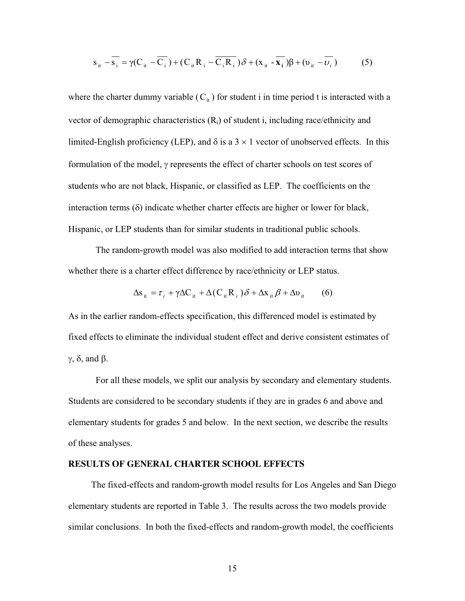$$
\mathbf{s}_{it} - \overline{\mathbf{s}_{i}} = \gamma (\mathbf{C}_{it} - \overline{\mathbf{C}_{i}}) + (\mathbf{C}_{it} \mathbf{R}_{i} - \overline{\mathbf{C}_{i} \mathbf{R}_{i}}) \delta + (\mathbf{x}_{it} - \overline{\mathbf{x}_{i}}) \beta + (\mathbf{v}_{it} - \overline{\mathbf{v}_{i}})
$$
(5)

where the charter dummy variable  $(C_{i})$  for student i in time period t is interacted with a vector of demographic characteristics  $(R<sub>i</sub>)$  of student i, including race/ethnicity and limited-English proficiency (LEP), and  $\delta$  is a 3  $\times$  1 vector of unobserved effects. In this formulation of the model,  $\gamma$  represents the effect of charter schools on test scores of students who are not black, Hispanic, or classified as LEP. The coefficients on the interaction terms  $(\delta)$  indicate whether charter effects are higher or lower for black, Hispanic, or LEP students than for similar students in traditional public schools.

 The random-growth model was also modified to add interaction terms that show whether there is a charter effect difference by race/ethnicity or LEP status.

$$
\Delta s_{it} = \tau_i + \gamma \Delta C_{it} + \Delta (C_{it} R_i) \delta + \Delta x_{it} \beta + \Delta v_{it}
$$
 (6)

As in the earlier random-effects specification, this differenced model is estimated by fixed effects to eliminate the individual student effect and derive consistent estimates of  $\gamma$ ,  $\delta$ , and  $\beta$ .

For all these models, we split our analysis by secondary and elementary students. Students are considered to be secondary students if they are in grades 6 and above and elementary students for grades 5 and below. In the next section, we describe the results of these analyses.

#### **RESULTS OF GENERAL CHARTER SCHOOL EFFECTS**

The fixed-effects and random-growth model results for Los Angeles and San Diego elementary students are reported in Table 3. The results across the two models provide similar conclusions. In both the fixed-effects and random-growth model, the coefficients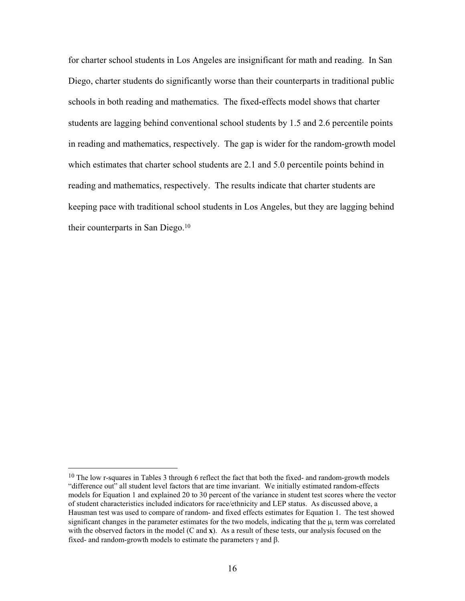for charter school students in Los Angeles are insignificant for math and reading. In San Diego, charter students do significantly worse than their counterparts in traditional public schools in both reading and mathematics. The fixed-effects model shows that charter students are lagging behind conventional school students by 1.5 and 2.6 percentile points in reading and mathematics, respectively. The gap is wider for the random-growth model which estimates that charter school students are 2.1 and 5.0 percentile points behind in reading and mathematics, respectively. The results indicate that charter students are keeping pace with traditional school students in Los Angeles, but they are lagging behind their counterparts in San Diego.10

<sup>&</sup>lt;sup>10</sup> The low r-squares in Tables 3 through 6 reflect the fact that both the fixed- and random-growth models "difference out" all student level factors that are time invariant. We initially estimated random-effects models for Equation 1 and explained 20 to 30 percent of the variance in student test scores where the vector of student characteristics included indicators for race/ethnicity and LEP status. As discussed above, a Hausman test was used to compare of random- and fixed effects estimates for Equation 1. The test showed significant changes in the parameter estimates for the two models, indicating that the  $\mu_i$  term was correlated with the observed factors in the model (C and **x**). As a result of these tests, our analysis focused on the fixed- and random-growth models to estimate the parameters  $\gamma$  and  $\beta$ .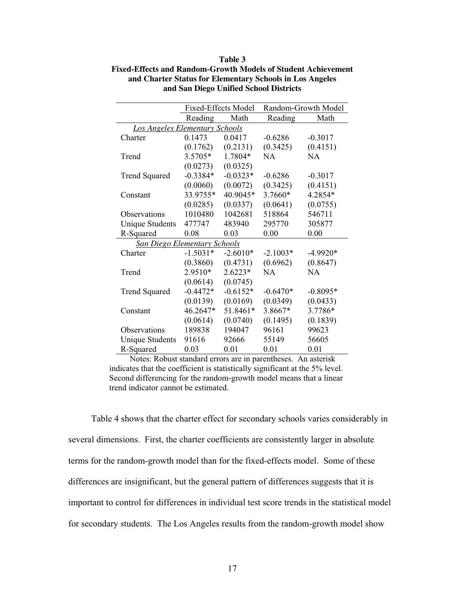|                                | <b>Fixed-Effects Model</b> |            | Random-Growth Model |            |
|--------------------------------|----------------------------|------------|---------------------|------------|
|                                | Reading                    | Math       | Reading             | Math       |
| Los Angeles Elementary Schools |                            |            |                     |            |
| Charter                        | 0.1473                     | 0.0417     | $-0.6286$           | $-0.3017$  |
|                                | (0.1762)                   | (0.2131)   | (0.3425)            | (0.4151)   |
| Trend                          | 3.5705*                    | 1.7804*    | NA                  | NA         |
|                                | (0.0273)                   | (0.0325)   |                     |            |
| <b>Trend Squared</b>           | $-0.3384*$                 | $-0.0323*$ | $-0.6286$           | $-0.3017$  |
|                                | (0.0060)                   | (0.0072)   | (0.3425)            | (0.4151)   |
| Constant                       | 33.9755*                   | 40.9045*   | 3.7660*             | 4.2854*    |
|                                | (0.0285)                   | (0.0337)   | (0.0641)            | (0.0755)   |
| Observations                   | 1010480                    | 1042681    | 518864              | 546711     |
| <b>Unique Students</b>         | 477747                     | 483940     | 295770              | 305877     |
| R-Squared                      | 0.08                       | 0.03       | 0.00                | 0.00       |
| San Diego Elementary Schools   |                            |            |                     |            |
| Charter                        | $-1.5031*$                 | $-2.6010*$ | $-2.1003*$          | $-4.9920*$ |
|                                | (0.3860)                   | (0.4731)   | (0.6962)            | (0.8647)   |
| Trend                          | 2.9510*                    | $2.6223*$  | NA.                 | NA.        |
|                                | (0.0614)                   | (0.0745)   |                     |            |
| <b>Trend Squared</b>           | $-0.4472*$                 | $-0.6152*$ | $-0.6470*$          | $-0.8095*$ |
|                                | (0.0139)                   | (0.0169)   | (0.0349)            | (0.0433)   |
| Constant                       | 46.2647*                   | 51.8461*   | 3.8667*             | 3.7786*    |
|                                | (0.0614)                   | (0.0740)   | (0.1495)            | (0.1839)   |
| Observations                   | 189838                     | 194047     | 96161               | 99623      |
| <b>Unique Students</b>         | 91616                      | 92666      | 55149               | 56605      |
| R-Squared                      | 0.03                       | 0.01       | 0.01                | 0.01       |

## **Table 3 Fixed-Effects and Random-Growth Models of Student Achievement and Charter Status for Elementary Schools in Los Angeles and San Diego Unified School Districts**

Notes: Robust standard errors are in parentheses. An asterisk indicates that the coefficient is statistically significant at the 5% level. Second differencing for the random-growth model means that a linear trend indicator cannot be estimated.

Table 4 shows that the charter effect for secondary schools varies considerably in several dimensions. First, the charter coefficients are consistently larger in absolute terms for the random-growth model than for the fixed-effects model. Some of these differences are insignificant, but the general pattern of differences suggests that it is important to control for differences in individual test score trends in the statistical model for secondary students. The Los Angeles results from the random-growth model show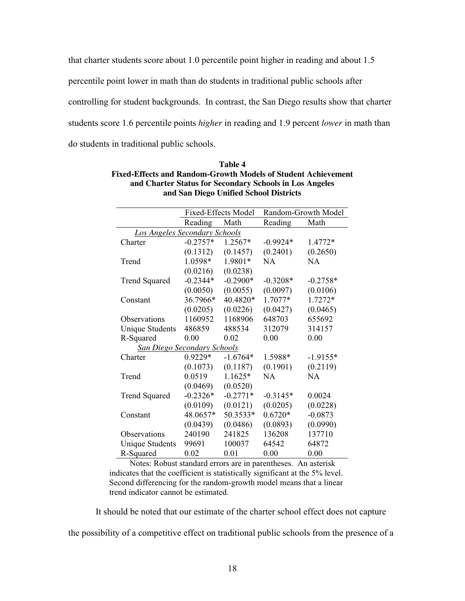that charter students score about 1.0 percentile point higher in reading and about 1.5 percentile point lower in math than do students in traditional public schools after controlling for student backgrounds. In contrast, the San Diego results show that charter students score 1.6 percentile points *higher* in reading and 1.9 percent *lower* in math than do students in traditional public schools.

|                                      | Fixed-Effects Model |            | Random-Growth Model |            |  |  |
|--------------------------------------|---------------------|------------|---------------------|------------|--|--|
|                                      | Reading             | Math       | Reading             | Math       |  |  |
| <b>Los Angeles Secondary Schools</b> |                     |            |                     |            |  |  |
| Charter                              | $-0.2757*$          | $1.2567*$  | $-0.9924*$          | $1.4772*$  |  |  |
|                                      | (0.1312)            | (0.1457)   | (0.2401)            | (0.2650)   |  |  |
| Trend                                | 1.0598*             | 1.9801*    | NA                  | NA         |  |  |
|                                      | (0.0216)            | (0.0238)   |                     |            |  |  |
| <b>Trend Squared</b>                 | $-0.2344*$          | $-0.2900*$ | $-0.3208*$          | $-0.2758*$ |  |  |
|                                      | (0.0050)            | (0.0055)   | (0.0097)            | (0.0106)   |  |  |
| Constant                             | 36.7966*            | 40.4820*   | 1.7077*             | $1.7272*$  |  |  |
|                                      | (0.0205)            | (0.0226)   | (0.0427)            | (0.0465)   |  |  |
| <b>Observations</b>                  | 1160952             | 1168906    | 648703              | 655692     |  |  |
| Unique Students                      | 486859              | 488534     | 312079              | 314157     |  |  |
| R-Squared                            | 0.00                | 0.02       | 0.00                | 0.00       |  |  |
| <b>San Diego Secondary Schools</b>   |                     |            |                     |            |  |  |
| Charter                              | 0.9229*             | $-1.6764*$ | 1.5988*             | $-1.9155*$ |  |  |
|                                      | (0.1073)            | (0.1187)   | (0.1901)            | (0.2119)   |  |  |
| Trend                                | 0.0519              | $1.1625*$  | NA                  | NA         |  |  |
|                                      | (0.0469)            | (0.0520)   |                     |            |  |  |
| <b>Trend Squared</b>                 | $-0.2326*$          | $-0.2771*$ | $-0.3145*$          | 0.0024     |  |  |
|                                      | (0.0109)            | (0.0121)   | (0.0205)            | (0.0228)   |  |  |
| Constant                             | 48.0657*            | 50.3533*   | $0.6720*$           | $-0.0873$  |  |  |
|                                      | (0.0439)            | (0.0486)   | (0.0893)            | (0.0990)   |  |  |
| <b>Observations</b>                  | 240190              | 241825     | 136208              | 137710     |  |  |
| Unique Students                      | 99691               | 100037     | 64542               | 64872      |  |  |
| R-Squared                            | 0.02                | 0.01       | 0.00                | 0.00       |  |  |

| Table 4                                                       |
|---------------------------------------------------------------|
| Fixed-Effects and Random-Growth Models of Student Achievement |
| and Charter Status for Secondary Schools in Los Angeles       |
| and San Diego Unified School Districts                        |

Notes: Robust standard errors are in parentheses. An asterisk indicates that the coefficient is statistically significant at the 5% level. Second differencing for the random-growth model means that a linear trend indicator cannot be estimated.

It should be noted that our estimate of the charter school effect does not capture

the possibility of a competitive effect on traditional public schools from the presence of a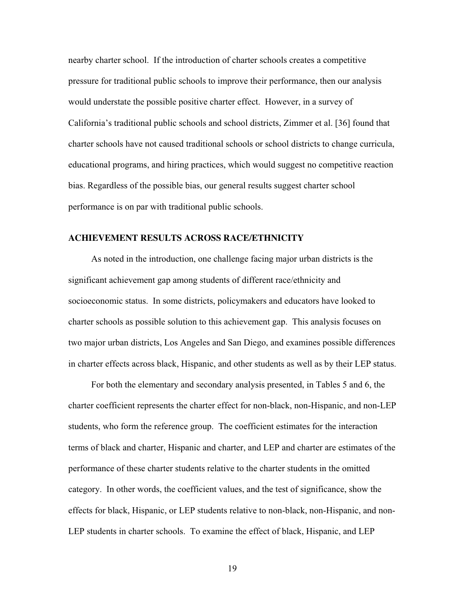nearby charter school. If the introduction of charter schools creates a competitive pressure for traditional public schools to improve their performance, then our analysis would understate the possible positive charter effect. However, in a survey of California's traditional public schools and school districts, Zimmer et al. [36] found that charter schools have not caused traditional schools or school districts to change curricula, educational programs, and hiring practices, which would suggest no competitive reaction bias. Regardless of the possible bias, our general results suggest charter school performance is on par with traditional public schools.

# **ACHIEVEMENT RESULTS ACROSS RACE/ETHNICITY**

As noted in the introduction, one challenge facing major urban districts is the significant achievement gap among students of different race/ethnicity and socioeconomic status. In some districts, policymakers and educators have looked to charter schools as possible solution to this achievement gap. This analysis focuses on two major urban districts, Los Angeles and San Diego, and examines possible differences in charter effects across black, Hispanic, and other students as well as by their LEP status.

For both the elementary and secondary analysis presented, in Tables 5 and 6, the charter coefficient represents the charter effect for non-black, non-Hispanic, and non-LEP students, who form the reference group. The coefficient estimates for the interaction terms of black and charter, Hispanic and charter, and LEP and charter are estimates of the performance of these charter students relative to the charter students in the omitted category. In other words, the coefficient values, and the test of significance, show the effects for black, Hispanic, or LEP students relative to non-black, non-Hispanic, and non-LEP students in charter schools. To examine the effect of black, Hispanic, and LEP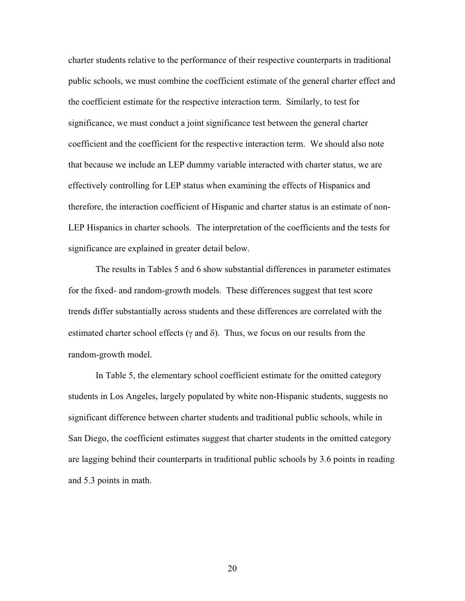charter students relative to the performance of their respective counterparts in traditional public schools, we must combine the coefficient estimate of the general charter effect and the coefficient estimate for the respective interaction term. Similarly, to test for significance, we must conduct a joint significance test between the general charter coefficient and the coefficient for the respective interaction term. We should also note that because we include an LEP dummy variable interacted with charter status, we are effectively controlling for LEP status when examining the effects of Hispanics and therefore, the interaction coefficient of Hispanic and charter status is an estimate of non-LEP Hispanics in charter schools. The interpretation of the coefficients and the tests for significance are explained in greater detail below.

The results in Tables 5 and 6 show substantial differences in parameter estimates for the fixed- and random-growth models. These differences suggest that test score trends differ substantially across students and these differences are correlated with the estimated charter school effects ( $\gamma$  and  $\delta$ ). Thus, we focus on our results from the random-growth model.

In Table 5, the elementary school coefficient estimate for the omitted category students in Los Angeles, largely populated by white non-Hispanic students, suggests no significant difference between charter students and traditional public schools, while in San Diego, the coefficient estimates suggest that charter students in the omitted category are lagging behind their counterparts in traditional public schools by 3.6 points in reading and 5.3 points in math.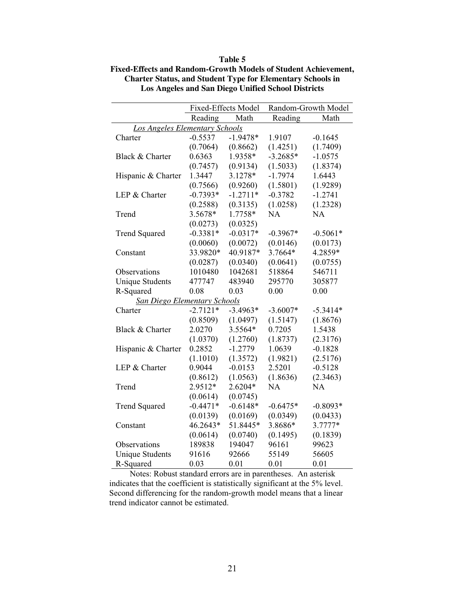#### **Table 5**

|                                | <b>Fixed-Effects Model</b> |            | Random-Growth Model |            |  |
|--------------------------------|----------------------------|------------|---------------------|------------|--|
|                                | Reading                    | Math       | Reading             | Math       |  |
| Los Angeles Elementary Schools |                            |            |                     |            |  |
| Charter                        | $-0.5537$                  | $-1.9478*$ | 1.9107              | $-0.1645$  |  |
|                                | (0.7064)                   | (0.8662)   | (1.4251)            | (1.7409)   |  |
| Black & Charter                | 0.6363                     | 1.9358*    | $-3.2685*$          | $-1.0575$  |  |
|                                | (0.7457)                   | (0.9134)   | (1.5033)            | (1.8374)   |  |
| Hispanic & Charter             | 1.3447                     | 3.1278*    | $-1.7974$           | 1.6443     |  |
|                                | (0.7566)                   | (0.9260)   | (1.5801)            | (1.9289)   |  |
| LEP & Charter                  | $-0.7393*$                 | $-1.2711*$ | $-0.3782$           | $-1.2741$  |  |
|                                | (0.2588)                   | (0.3135)   | (1.0258)            | (1.2328)   |  |
| Trend                          | 3.5678*                    | 1.7758*    | NA.                 | NA         |  |
|                                | (0.0273)                   | (0.0325)   |                     |            |  |
| <b>Trend Squared</b>           | $-0.3381*$                 | $-0.0317*$ | $-0.3967*$          | $-0.5061*$ |  |
|                                | (0.0060)                   | (0.0072)   | (0.0146)            | (0.0173)   |  |
| Constant                       | 33.9820*                   | 40.9187*   | 3.7664*             | 4.2859*    |  |
|                                | (0.0287)                   | (0.0340)   | (0.0641)            | (0.0755)   |  |
| Observations                   | 1010480                    | 1042681    | 518864              | 546711     |  |
| <b>Unique Students</b>         | 477747                     | 483940     | 295770              | 305877     |  |
| R-Squared                      | 0.08                       | 0.03       | 0.00                | 0.00       |  |
| San Diego Elementary Schools   |                            |            |                     |            |  |
| Charter                        | $-2.7121*$                 | $-3.4963*$ | $-3.6007*$          | $-5.3414*$ |  |
|                                | (0.8509)                   | (1.0497)   | (1.5147)            | (1.8676)   |  |
| Black & Charter                | 2.0270                     | 3.5564*    | 0.7205              | 1.5438     |  |
|                                | (1.0370)                   | (1.2760)   | (1.8737)            | (2.3176)   |  |
| Hispanic & Charter             | 0.2852                     | $-1.2779$  | 1.0639              | $-0.1828$  |  |
|                                | (1.1010)                   | (1.3572)   | (1.9821)            | (2.5176)   |  |
| LEP & Charter                  | 0.9044                     | $-0.0153$  | 2.5201              | $-0.5128$  |  |
|                                | (0.8612)                   | (1.0563)   | (1.8636)            | (2.3463)   |  |
| Trend                          | 2.9512*                    | 2.6204*    | NA                  | <b>NA</b>  |  |
|                                | (0.0614)                   | (0.0745)   |                     |            |  |
| <b>Trend Squared</b>           | $-0.4471*$                 | $-0.6148*$ | $-0.6475*$          | $-0.8093*$ |  |
|                                | (0.0139)                   | (0.0169)   | (0.0349)            | (0.0433)   |  |
| Constant                       | 46.2643*                   | 51.8445*   | 3.8686*             | $3.7777*$  |  |
|                                | (0.0614)                   | (0.0740)   | (0.1495)            | (0.1839)   |  |
| <b>Observations</b>            | 189838                     | 194047     | 96161               | 99623      |  |
| <b>Unique Students</b>         | 91616                      | 92666      | 55149               | 56605      |  |
| R-Squared                      | 0.03                       | 0.01       | 0.01                | 0.01       |  |

# **Fixed-Effects and Random-Growth Models of Student Achievement, Charter Status, and Student Type for Elementary Schools in Los Angeles and San Diego Unified School Districts**

Notes: Robust standard errors are in parentheses. An asterisk indicates that the coefficient is statistically significant at the 5% level. Second differencing for the random-growth model means that a linear trend indicator cannot be estimated.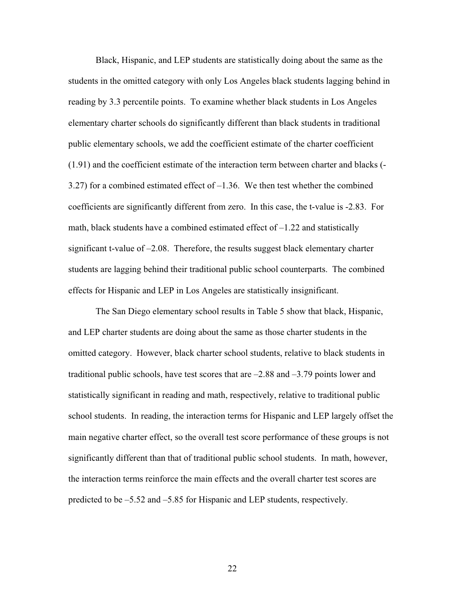Black, Hispanic, and LEP students are statistically doing about the same as the students in the omitted category with only Los Angeles black students lagging behind in reading by 3.3 percentile points. To examine whether black students in Los Angeles elementary charter schools do significantly different than black students in traditional public elementary schools, we add the coefficient estimate of the charter coefficient (1.91) and the coefficient estimate of the interaction term between charter and blacks (- 3.27) for a combined estimated effect of  $-1.36$ . We then test whether the combined coefficients are significantly different from zero. In this case, the t-value is -2.83. For math, black students have a combined estimated effect of  $-1.22$  and statistically significant t-value of  $-2.08$ . Therefore, the results suggest black elementary charter students are lagging behind their traditional public school counterparts. The combined effects for Hispanic and LEP in Los Angeles are statistically insignificant.

The San Diego elementary school results in Table 5 show that black, Hispanic, and LEP charter students are doing about the same as those charter students in the omitted category. However, black charter school students, relative to black students in traditional public schools, have test scores that are  $-2.88$  and  $-3.79$  points lower and statistically significant in reading and math, respectively, relative to traditional public school students. In reading, the interaction terms for Hispanic and LEP largely offset the main negative charter effect, so the overall test score performance of these groups is not significantly different than that of traditional public school students. In math, however, the interaction terms reinforce the main effects and the overall charter test scores are predicted to be –5.52 and –5.85 for Hispanic and LEP students, respectively.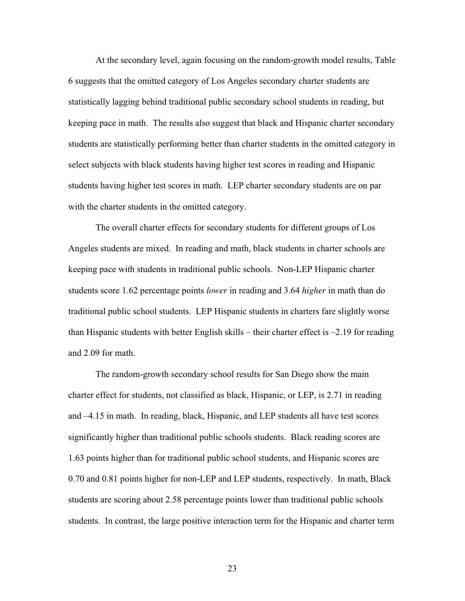At the secondary level, again focusing on the random-growth model results, Table 6 suggests that the omitted category of Los Angeles secondary charter students are statistically lagging behind traditional public secondary school students in reading, but keeping pace in math. The results also suggest that black and Hispanic charter secondary students are statistically performing better than charter students in the omitted category in select subjects with black students having higher test scores in reading and Hispanic students having higher test scores in math. LEP charter secondary students are on par with the charter students in the omitted category.

The overall charter effects for secondary students for different groups of Los Angeles students are mixed. In reading and math, black students in charter schools are keeping pace with students in traditional public schools. Non-LEP Hispanic charter students score 1.62 percentage points *lower* in reading and 3.64 *higher* in math than do traditional public school students. LEP Hispanic students in charters fare slightly worse than Hispanic students with better English skills – their charter effect is –2.19 for reading and 2.09 for math.

The random-growth secondary school results for San Diego show the main charter effect for students, not classified as black, Hispanic, or LEP, is 2.71 in reading and –4.15 in math. In reading, black, Hispanic, and LEP students all have test scores significantly higher than traditional public schools students. Black reading scores are 1.63 points higher than for traditional public school students, and Hispanic scores are 0.70 and 0.81 points higher for non-LEP and LEP students, respectively. In math, Black students are scoring about 2.58 percentage points lower than traditional public schools students. In contrast, the large positive interaction term for the Hispanic and charter term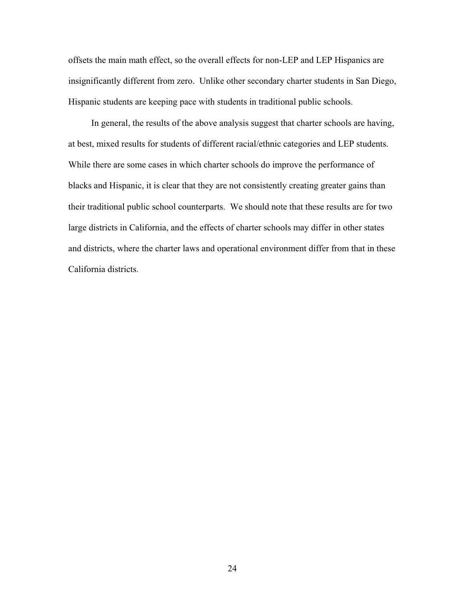offsets the main math effect, so the overall effects for non-LEP and LEP Hispanics are insignificantly different from zero. Unlike other secondary charter students in San Diego, Hispanic students are keeping pace with students in traditional public schools.

In general, the results of the above analysis suggest that charter schools are having, at best, mixed results for students of different racial/ethnic categories and LEP students. While there are some cases in which charter schools do improve the performance of blacks and Hispanic, it is clear that they are not consistently creating greater gains than their traditional public school counterparts. We should note that these results are for two large districts in California, and the effects of charter schools may differ in other states and districts, where the charter laws and operational environment differ from that in these California districts.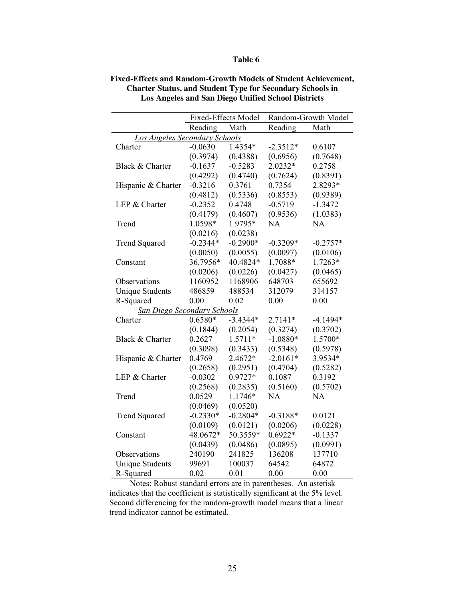#### **Table 6**

|                                      | <b>Fixed-Effects Model</b> |            | Random-Growth Model |            |  |
|--------------------------------------|----------------------------|------------|---------------------|------------|--|
|                                      | Reading                    | Math       | Reading             | Math       |  |
| <b>Los Angeles Secondary Schools</b> |                            |            |                     |            |  |
| Charter                              | $-0.0630$                  | 1.4354*    | $-2.3512*$          | 0.6107     |  |
|                                      | (0.3974)                   | (0.4388)   | (0.6956)            | (0.7648)   |  |
| Black & Charter                      | $-0.1637$                  | $-0.5283$  | 2.0232*             | 0.2758     |  |
|                                      | (0.4292)                   | (0.4740)   | (0.7624)            | (0.8391)   |  |
| Hispanic & Charter                   | $-0.3216$                  | 0.3761     | 0.7354              | 2.8293*    |  |
|                                      | (0.4812)                   | (0.5336)   | (0.8553)            | (0.9389)   |  |
| LEP & Charter                        | $-0.2352$                  | 0.4748     | $-0.5719$           | $-1.3472$  |  |
|                                      | (0.4179)                   | (0.4607)   | (0.9536)            | (1.0383)   |  |
| Trend                                | 1.0598*                    | 1.9795*    | NA                  | NA         |  |
|                                      | (0.0216)                   | (0.0238)   |                     |            |  |
| <b>Trend Squared</b>                 | $-0.2344*$                 | $-0.2900*$ | $-0.3209*$          | $-0.2757*$ |  |
|                                      | (0.0050)                   | (0.0055)   | (0.0097)            | (0.0106)   |  |
| Constant                             | 36.7956*                   | 40.4824*   | 1.7088*             | $1.7263*$  |  |
|                                      | (0.0206)                   | (0.0226)   | (0.0427)            | (0.0465)   |  |
| <b>Observations</b>                  | 1160952                    | 1168906    | 648703              | 655692     |  |
| <b>Unique Students</b>               | 486859                     | 488534     | 312079              | 314157     |  |
| R-Squared                            | 0.00                       | 0.02       | 0.00                | 0.00       |  |
| San Diego Secondary Schools          |                            |            |                     |            |  |
| Charter                              | $0.6580*$                  | $-3.4344*$ | $2.7141*$           | $-4.1494*$ |  |
|                                      | (0.1844)                   | (0.2054)   | (0.3274)            | (0.3702)   |  |
| Black & Charter                      | 0.2627                     | $1.5711*$  | $-1.0880*$          | 1.5700*    |  |
|                                      | (0.3098)                   | (0.3433)   | (0.5348)            | (0.5978)   |  |
| Hispanic & Charter                   | 0.4769                     | 2.4672*    | $-2.0161*$          | 3.9534*    |  |
|                                      | (0.2658)                   | (0.2951)   | (0.4704)            | (0.5282)   |  |
| LEP & Charter                        | $-0.0302$                  | $0.9727*$  | 0.1087              | 0.3192     |  |
|                                      | (0.2568)                   | (0.2835)   | (0.5160)            | (0.5702)   |  |
| Trend                                | 0.0529                     | 1.1746*    | NA                  | NA         |  |
|                                      | (0.0469)                   | (0.0520)   |                     |            |  |
| <b>Trend Squared</b>                 | $-0.2330*$                 | $-0.2804*$ | $-0.3188*$          | 0.0121     |  |
|                                      | (0.0109)                   | (0.0121)   | (0.0206)            | (0.0228)   |  |
| Constant                             | 48.0672*                   | 50.3559*   | $0.6922*$           | $-0.1337$  |  |
|                                      | (0.0439)                   | (0.0486)   | (0.0895)            | (0.0991)   |  |
| Observations                         | 240190                     | 241825     | 136208              | 137710     |  |
| <b>Unique Students</b>               | 99691                      | 100037     | 64542               | 64872      |  |
| R-Squared                            | 0.02                       | 0.01       | 0.00                | 0.00       |  |

### **Fixed-Effects and Random-Growth Models of Student Achievement, Charter Status, and Student Type for Secondary Schools in Los Angeles and San Diego Unified School Districts**

Notes: Robust standard errors are in parentheses. An asterisk indicates that the coefficient is statistically significant at the 5% level. Second differencing for the random-growth model means that a linear trend indicator cannot be estimated.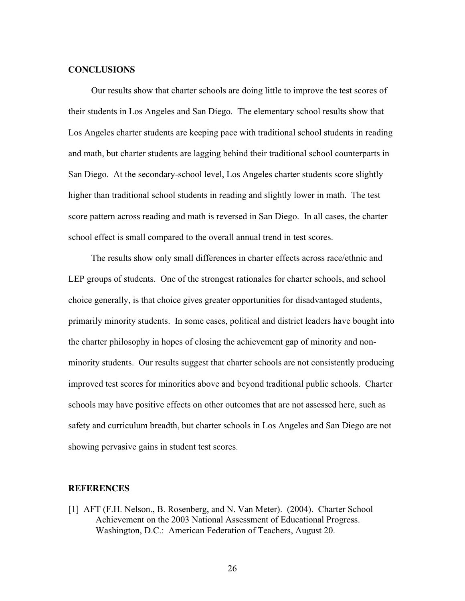#### **CONCLUSIONS**

Our results show that charter schools are doing little to improve the test scores of their students in Los Angeles and San Diego. The elementary school results show that Los Angeles charter students are keeping pace with traditional school students in reading and math, but charter students are lagging behind their traditional school counterparts in San Diego. At the secondary-school level, Los Angeles charter students score slightly higher than traditional school students in reading and slightly lower in math. The test score pattern across reading and math is reversed in San Diego. In all cases, the charter school effect is small compared to the overall annual trend in test scores.

The results show only small differences in charter effects across race/ethnic and LEP groups of students. One of the strongest rationales for charter schools, and school choice generally, is that choice gives greater opportunities for disadvantaged students, primarily minority students. In some cases, political and district leaders have bought into the charter philosophy in hopes of closing the achievement gap of minority and nonminority students. Our results suggest that charter schools are not consistently producing improved test scores for minorities above and beyond traditional public schools. Charter schools may have positive effects on other outcomes that are not assessed here, such as safety and curriculum breadth, but charter schools in Los Angeles and San Diego are not showing pervasive gains in student test scores.

#### **REFERENCES**

[1] AFT (F.H. Nelson., B. Rosenberg, and N. Van Meter). (2004). Charter School Achievement on the 2003 National Assessment of Educational Progress. Washington, D.C.: American Federation of Teachers, August 20.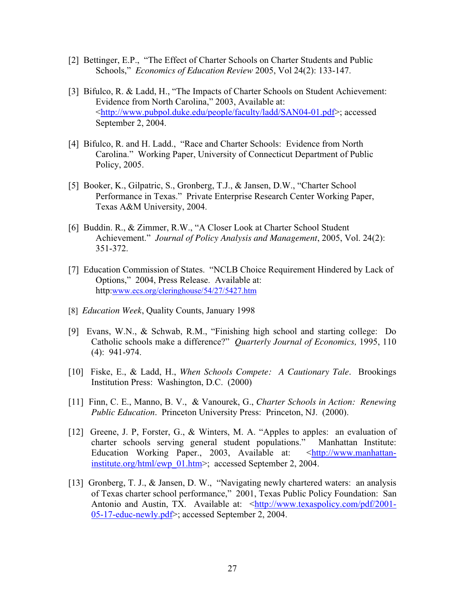- [2] Bettinger, E.P., "The Effect of Charter Schools on Charter Students and Public Schools," *Economics of Education Review* 2005, Vol 24(2): 133-147.
- [3] Bifulco, R. & Ladd, H., "The Impacts of Charter Schools on Student Achievement: Evidence from North Carolina," 2003, Available at: <http://www.pubpol.duke.edu/people/faculty/ladd/SAN04-01.pdf>; accessed September 2, 2004.
- [4] Bifulco, R. and H. Ladd., "Race and Charter Schools: Evidence from North Carolina." Working Paper, University of Connecticut Department of Public Policy, 2005.
- [5] Booker, K., Gilpatric, S., Gronberg, T.J., & Jansen, D.W., "Charter School Performance in Texas." Private Enterprise Research Center Working Paper, Texas A&M University, 2004.
- [6] Buddin. R., & Zimmer, R.W., "A Closer Look at Charter School Student Achievement." *Journal of Policy Analysis and Management*, 2005, Vol. 24(2): 351-372.
- [7] Education Commission of States. "NCLB Choice Requirement Hindered by Lack of Options," 2004, Press Release. Available at: http:www.ecs.org/cleringhouse/54/27/5427.htm
- [8] *Education Week*, Quality Counts, January 1998
- [9] Evans, W.N., & Schwab, R.M., "Finishing high school and starting college: Do Catholic schools make a difference?" *Quarterly Journal of Economics,* 1995, 110 (4): 941-974.
- [10] Fiske, E., & Ladd, H., *When Schools Compete: A Cautionary Tale.* Brookings Institution Press: Washington, D.C. (2000)
- [11] Finn, C. E., Manno, B. V., & Vanourek, G., *Charter Schools in Action: Renewing Public Education.* Princeton University Press: Princeton, NJ. (2000).
- [12] Greene, J. P., Forster, G., & Winters, M. A. "Apples to apples: an evaluation of charter schools serving general student populations." Manhattan Institute: Education Working Paper., 2003, Available at: <http://www.manhattaninstitute.org/html/ewp\_01.htm>; accessed September 2, 2004.
- [13] Gronberg, T. J., & Jansen, D. W., "Navigating newly chartered waters: an analysis of Texas charter school performance," 2001, Texas Public Policy Foundation: San Antonio and Austin, TX. Available at: <http://www.texaspolicy.com/pdf/2001-05-17-educ-newly.pdf>; accessed September 2, 2004.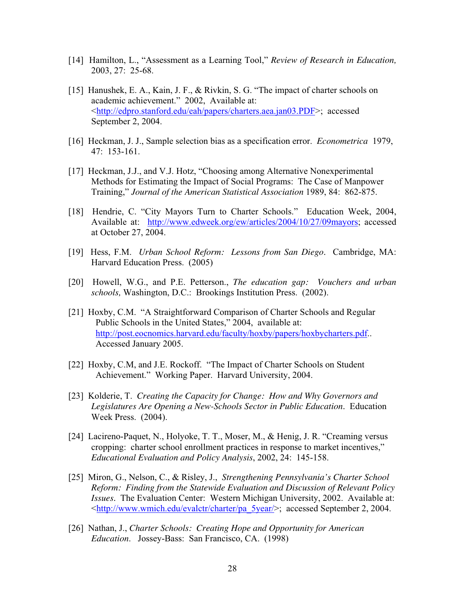- [14] Hamilton, L., "Assessment as a Learning Tool," *Review of Research in Education,*  2003, 27: 25-68.
- [15] Hanushek, E. A., Kain, J. F., & Rivkin, S. G. "The impact of charter schools on academic achievement." 2002, Available at: <http://edpro.stanford.edu/eah/papers/charters.aea.jan03.PDF>; accessed September 2, 2004.
- [16] Heckman, J. J., Sample selection bias as a specification error. *Econometrica* 1979, 47: 153-161.
- [17] Heckman, J.J., and V.J. Hotz, "Choosing among Alternative Nonexperimental Methods for Estimating the Impact of Social Programs: The Case of Manpower Training," *Journal of the American Statistical Association* 1989, 84: 862-875.
- [18] Hendrie, C. "City Mayors Turn to Charter Schools." Education Week, 2004, Available at: http://www.edweek.org/ew/articles/2004/10/27/09mayors; accessed at October 27, 2004.
- [19] Hess, F.M. *Urban School Reform: Lessons from San Diego.* Cambridge, MA: Harvard Education Press. (2005)
- [20] Howell, W.G., and P.E. Petterson., *The education gap: Vouchers and urban schools,* Washington, D.C.: Brookings Institution Press. (2002).
- [21] Hoxby, C.M. "A Straightforward Comparison of Charter Schools and Regular Public Schools in the United States," 2004, available at: http://post.eocnomics.harvard.edu/faculty/hoxby/papers/hoxbycharters.pdf.. Accessed January 2005.
- [22] Hoxby, C.M, and J.E. Rockoff. "The Impact of Charter Schools on Student Achievement." Working Paper. Harvard University, 2004.
- [23] Kolderie, T. *Creating the Capacity for Change: How and Why Governors and Legislatures Are Opening a New-Schools Sector in Public Education.* Education Week Press. (2004).
- [24] Lacireno-Paquet, N., Holyoke, T. T., Moser, M., & Henig, J. R. "Creaming versus cropping: charter school enrollment practices in response to market incentives," *Educational Evaluation and Policy Analysis*, 2002, 24: 145-158.
- [25] Miron, G., Nelson, C., & Risley, J., *Strengthening Pennsylvania's Charter School Reform: Finding from the Statewide Evaluation and Discussion of Relevant Policy Issues.* The Evaluation Center: Western Michigan University, 2002. Available at: <http://www.wmich.edu/evalctr/charter/pa\_5year/>; accessed September 2, 2004.
- [26] Nathan, J., *Charter Schools: Creating Hope and Opportunity for American Education*. Jossey-Bass: San Francisco, CA. (1998)